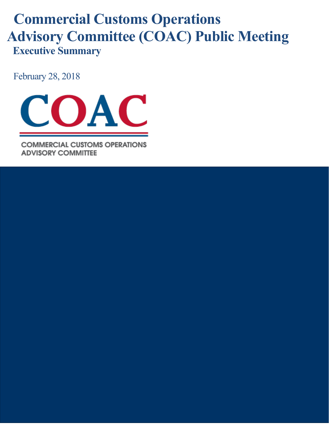# **Commercial Customs Operations Advisory Committee (COAC) Public Meeting Executive Summary**

February 28, 2018



**COMMERCIAL CUSTOMS OPERATIONS ADVISORY COMMITTEE**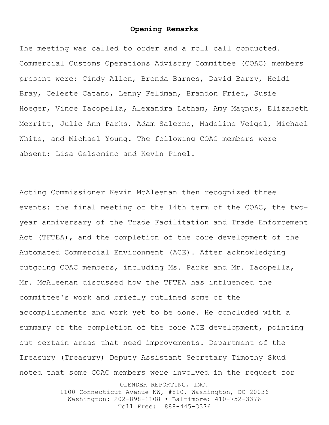#### **Opening Remarks**

The meeting was called to order and a roll call conducted. Commercial Customs Operations Advisory Committee (COAC) members present were: Cindy Allen, Brenda Barnes, David Barry, Heidi Bray, Celeste Catano, Lenny Feldman, Brandon Fried, Susie Hoeger, Vince Iacopella, Alexandra Latham, Amy Magnus, Elizabeth Merritt, Julie Ann Parks, Adam Salerno, Madeline Veigel, Michael White, and Michael Young. The following COAC members were absent: Lisa Gelsomino and Kevin Pinel.

OLENDER REPORTING, INC. Acting Commissioner Kevin McAleenan then recognized three events: the final meeting of the 14th term of the COAC, the twoyear anniversary of the Trade Facilitation and Trade Enforcement Act (TFTEA), and the completion of the core development of the Automated Commercial Environment (ACE). After acknowledging outgoing COAC members, including Ms. Parks and Mr. Iacopella, Mr. McAleenan discussed how the TFTEA has influenced the committee's work and briefly outlined some of the accomplishments and work yet to be done. He concluded with a summary of the completion of the core ACE development, pointing out certain areas that need improvements. Department of the Treasury (Treasury) Deputy Assistant Secretary Timothy Skud noted that some COAC members were involved in the request for

1100 Connecticut Avenue NW, #810, Washington, DC 20036 Washington: 202-898-1108 • Baltimore: 410-752-3376 Toll Free: 888-445-3376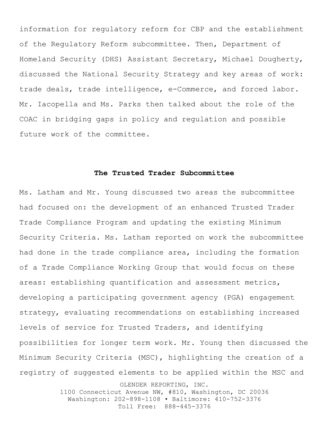information for regulatory reform for CBP and the establishment of the Regulatory Reform subcommittee. Then, Department of Homeland Security (DHS) Assistant Secretary, Michael Dougherty, discussed the National Security Strategy and key areas of work: trade deals, trade intelligence, e-Commerce, and forced labor. Mr. Iacopella and Ms. Parks then talked about the role of the COAC in bridging gaps in policy and regulation and possible future work of the committee.

#### **The Trusted Trader Subcommittee**

OLENDER REPORTING, INC. Ms. Latham and Mr. Young discussed two areas the subcommittee had focused on: the development of an enhanced Trusted Trader Trade Compliance Program and updating the existing Minimum Security Criteria. Ms. Latham reported on work the subcommittee had done in the trade compliance area, including the formation of a Trade Compliance Working Group that would focus on these areas: establishing quantification and assessment metrics, developing a participating government agency (PGA) engagement strategy, evaluating recommendations on establishing increased levels of service for Trusted Traders, and identifying possibilities for longer term work. Mr. Young then discussed the Minimum Security Criteria (MSC), highlighting the creation of a registry of suggested elements to be applied within the MSC and

> 1100 Connecticut Avenue NW, #810, Washington, DC 20036 Washington: 202-898-1108 • Baltimore: 410-752-3376 Toll Free: 888-445-3376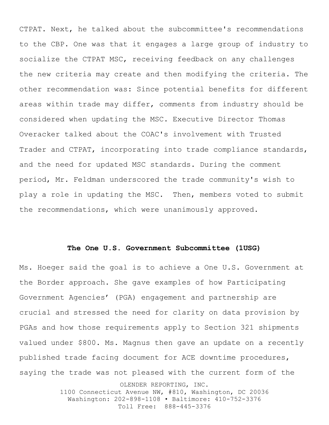CTPAT. Next, he talked about the subcommittee's recommendations to the CBP. One was that it engages a large group of industry to socialize the CTPAT MSC, receiving feedback on any challenges the new criteria may create and then modifying the criteria. The other recommendation was: Since potential benefits for different areas within trade may differ, comments from industry should be considered when updating the MSC. Executive Director Thomas Overacker talked about the COAC's involvement with Trusted Trader and CTPAT, incorporating into trade compliance standards, and the need for updated MSC standards. During the comment period, Mr. Feldman underscored the trade community's wish to play a role in updating the MSC. Then, members voted to submit the recommendations, which were unanimously approved.

#### **The One U.S. Government Subcommittee (1USG)**

OLENDER REPORTING, INC. Ms. Hoeger said the goal is to achieve a One U.S. Government at the Border approach. She gave examples of how Participating Government Agencies' (PGA) engagement and partnership are crucial and stressed the need for clarity on data provision by PGAs and how those requirements apply to Section 321 shipments valued under \$800. Ms. Magnus then gave an update on a recently published trade facing document for ACE downtime procedures, saying the trade was not pleased with the current form of the

> 1100 Connecticut Avenue NW, #810, Washington, DC 20036 Washington: 202-898-1108 • Baltimore: 410-752-3376 Toll Free: 888-445-3376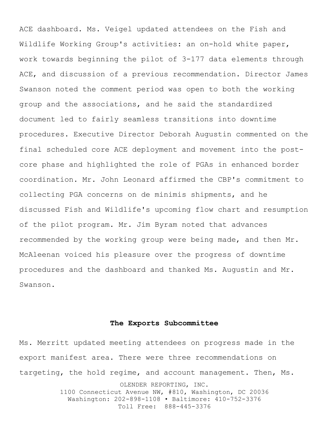ACE dashboard. Ms. Veigel updated attendees on the Fish and Wildlife Working Group's activities: an on-hold white paper, work towards beginning the pilot of 3-177 data elements through ACE, and discussion of a previous recommendation. Director James Swanson noted the comment period was open to both the working group and the associations, and he said the standardized document led to fairly seamless transitions into downtime procedures. Executive Director Deborah Augustin commented on the final scheduled core ACE deployment and movement into the postcore phase and highlighted the role of PGAs in enhanced border coordination. Mr. John Leonard affirmed the CBP's commitment to collecting PGA concerns on de minimis shipments, and he discussed Fish and Wildlife's upcoming flow chart and resumption of the pilot program. Mr. Jim Byram noted that advances recommended by the working group were being made, and then Mr. McAleenan voiced his pleasure over the progress of downtime procedures and the dashboard and thanked Ms. Augustin and Mr. Swanson.

#### **The Exports Subcommittee**

OLENDER REPORTING, INC. 1100 Connecticut Avenue NW, #810, Washington, DC 20036 Washington: 202-898-1108 • Baltimore: 410-752-3376 Ms. Merritt updated meeting attendees on progress made in the export manifest area. There were three recommendations on targeting, the hold regime, and account management. Then, Ms.

Toll Free: 888-445-3376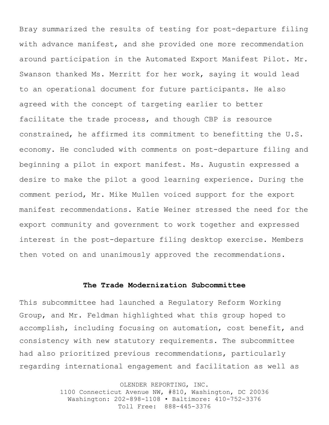Bray summarized the results of testing for post-departure filing with advance manifest, and she provided one more recommendation around participation in the Automated Export Manifest Pilot. Mr. Swanson thanked Ms. Merritt for her work, saying it would lead to an operational document for future participants. He also agreed with the concept of targeting earlier to better facilitate the trade process, and though CBP is resource constrained, he affirmed its commitment to benefitting the U.S. economy. He concluded with comments on post-departure filing and beginning a pilot in export manifest. Ms. Augustin expressed a desire to make the pilot a good learning experience. During the comment period, Mr. Mike Mullen voiced support for the export manifest recommendations. Katie Weiner stressed the need for the export community and government to work together and expressed interest in the post-departure filing desktop exercise. Members then voted on and unanimously approved the recommendations.

### **The Trade Modernization Subcommittee**

This subcommittee had launched a Regulatory Reform Working Group, and Mr. Feldman highlighted what this group hoped to accomplish, including focusing on automation, cost benefit, and consistency with new statutory requirements. The subcommittee had also prioritized previous recommendations, particularly regarding international engagement and facilitation as well as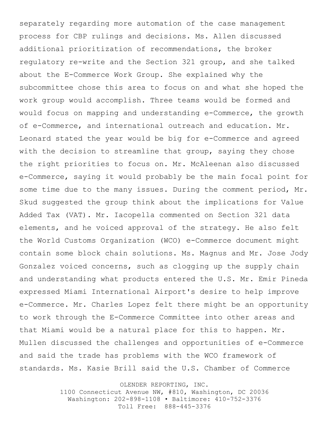separately regarding more automation of the case management process for CBP rulings and decisions. Ms. Allen discussed additional prioritization of recommendations, the broker regulatory re-write and the Section 321 group, and she talked about the E-Commerce Work Group. She explained why the subcommittee chose this area to focus on and what she hoped the work group would accomplish. Three teams would be formed and would focus on mapping and understanding e-Commerce, the growth of e-Commerce, and international outreach and education. Mr. Leonard stated the year would be big for e-Commerce and agreed with the decision to streamline that group, saying they chose the right priorities to focus on. Mr. McAleenan also discussed e-Commerce, saying it would probably be the main focal point for some time due to the many issues. During the comment period, Mr. Skud suggested the group think about the implications for Value Added Tax (VAT). Mr. Iacopella commented on Section 321 data elements, and he voiced approval of the strategy. He also felt the World Customs Organization (WCO) e-Commerce document might contain some block chain solutions. Ms. Magnus and Mr. Jose Jody Gonzalez voiced concerns, such as clogging up the supply chain and understanding what products entered the U.S. Mr. Emir Pineda expressed Miami International Airport's desire to help improve e-Commerce. Mr. Charles Lopez felt there might be an opportunity to work through the E-Commerce Committee into other areas and that Miami would be a natural place for this to happen. Mr. Mullen discussed the challenges and opportunities of e-Commerce and said the trade has problems with the WCO framework of standards. Ms. Kasie Brill said the U.S. Chamber of Commerce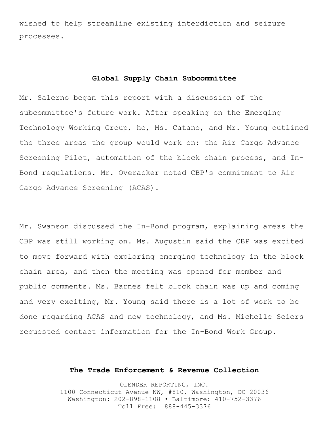wished to help streamline existing interdiction and seizure processes.

## **Global Supply Chain Subcommittee**

Mr. Salerno began this report with a discussion of the subcommittee's future work. After speaking on the Emerging Technology Working Group, he, Ms. Catano, and Mr. Young outlined the three areas the group would work on: the Air Cargo Advance Screening Pilot, automation of the block chain process, and In-Bond regulations. Mr. Overacker noted CBP's commitment to Air Cargo Advance Screening (ACAS).

Mr. Swanson discussed the In-Bond program, explaining areas the CBP was still working on. Ms. Augustin said the CBP was excited to move forward with exploring emerging technology in the block chain area, and then the meeting was opened for member and public comments. Ms. Barnes felt block chain was up and coming and very exciting, Mr. Young said there is a lot of work to be done regarding ACAS and new technology, and Ms. Michelle Seiers requested contact information for the In-Bond Work Group.

#### **The Trade Enforcement & Revenue Collection**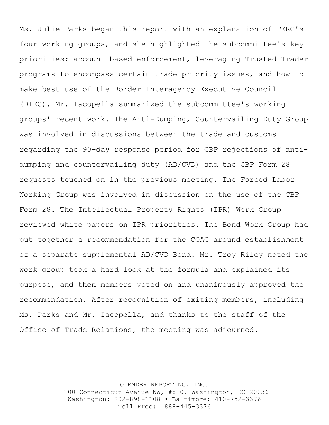Ms. Julie Parks began this report with an explanation of TERC's four working groups, and she highlighted the subcommittee's key priorities: account-based enforcement, leveraging Trusted Trader programs to encompass certain trade priority issues, and how to make best use of the Border Interagency Executive Council (BIEC). Mr. Iacopella summarized the subcommittee's working groups' recent work. The Anti-Dumping, Countervailing Duty Group was involved in discussions between the trade and customs regarding the 90-day response period for CBP rejections of antidumping and countervailing duty (AD/CVD) and the CBP Form 28 requests touched on in the previous meeting. The Forced Labor Working Group was involved in discussion on the use of the CBP Form 28. The Intellectual Property Rights (IPR) Work Group reviewed white papers on IPR priorities. The Bond Work Group had put together a recommendation for the COAC around establishment of a separate supplemental AD/CVD Bond. Mr. Troy Riley noted the work group took a hard look at the formula and explained its purpose, and then members voted on and unanimously approved the recommendation. After recognition of exiting members, including Ms. Parks and Mr. Iacopella, and thanks to the staff of the Office of Trade Relations, the meeting was adjourned.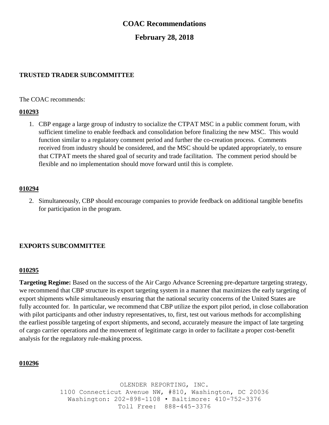# **COAC Recommendations**

# **February 28, 2018**

# **TRUSTED TRADER SUBCOMMITTEE**

The COAC recommends:

## **010293**

1. CBP engage a large group of industry to socialize the CTPAT MSC in a public comment forum, with sufficient timeline to enable feedback and consolidation before finalizing the new MSC. This would function similar to a regulatory comment period and further the co-creation process. Comments received from industry should be considered, and the MSC should be updated appropriately, to ensure that CTPAT meets the shared goal of security and trade facilitation. The comment period should be flexible and no implementation should move forward until this is complete.

#### **010294**

2. Simultaneously, CBP should encourage companies to provide feedback on additional tangible benefits for participation in the program.

## **EXPORTS SUBCOMMITTEE**

#### **010295**

**Targeting Regime:** Based on the success of the Air Cargo Advance Screening pre-departure targeting strategy, we recommend that CBP structure its export targeting system in a manner that maximizes the early targeting of export shipments while simultaneously ensuring that the national security concerns of the United States are fully accounted for. In particular, we recommend that CBP utilize the export pilot period, in close collaboration with pilot participants and other industry representatives, to, first, test out various methods for accomplishing the earliest possible targeting of export shipments, and second, accurately measure the impact of late targeting of cargo carrier operations and the movement of legitimate cargo in order to facilitate a proper cost-benefit analysis for the regulatory rule-making process.

#### **010296**